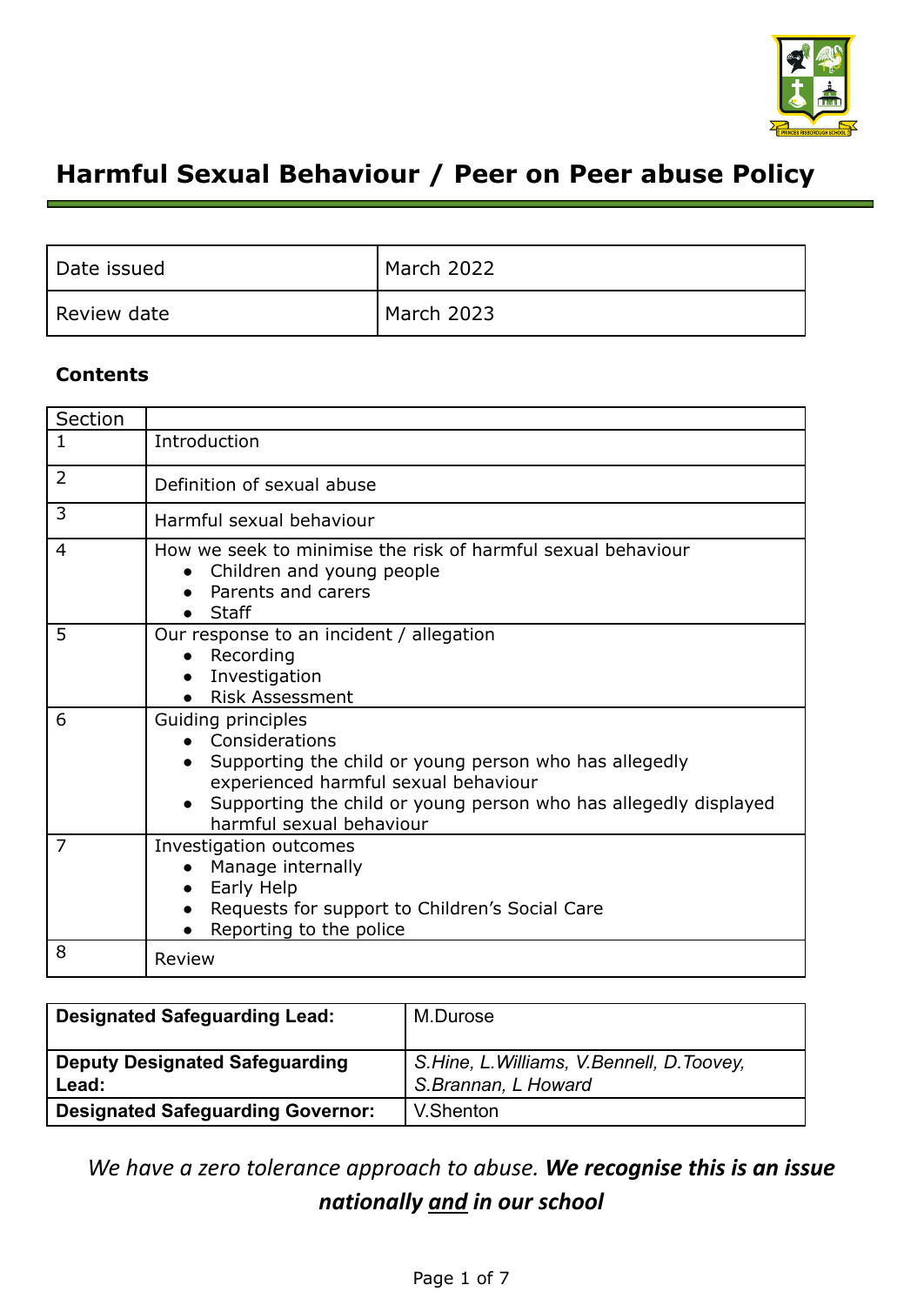

# **Harmful Sexual Behaviour / Peer on Peer abuse Policy**

| Date issued | March 2022 |
|-------------|------------|
| Review date | March 2023 |

# **Contents**

| Section        |                                                                                                                                                                                                                                          |
|----------------|------------------------------------------------------------------------------------------------------------------------------------------------------------------------------------------------------------------------------------------|
| 1              | Introduction                                                                                                                                                                                                                             |
| $\overline{2}$ | Definition of sexual abuse                                                                                                                                                                                                               |
| 3              | Harmful sexual behaviour                                                                                                                                                                                                                 |
| 4              | How we seek to minimise the risk of harmful sexual behaviour<br>Children and young people<br>Parents and carers<br>$\bullet$ Staff                                                                                                       |
| 5              | Our response to an incident / allegation<br>Recording<br>Investigation<br><b>Risk Assessment</b>                                                                                                                                         |
| 6              | Guiding principles<br>• Considerations<br>Supporting the child or young person who has allegedly<br>experienced harmful sexual behaviour<br>Supporting the child or young person who has allegedly displayed<br>harmful sexual behaviour |
| 7              | Investigation outcomes<br>Manage internally<br>Early Help<br>Requests for support to Children's Social Care<br>Reporting to the police                                                                                                   |
| 8              | Review                                                                                                                                                                                                                                   |

| <b>Designated Safeguarding Lead:</b>           | M.Durose                                                        |
|------------------------------------------------|-----------------------------------------------------------------|
| <b>Deputy Designated Safeguarding</b><br>Lead: | S.Hine, L.Williams, V.Bennell, D.Toovey,<br>S.Brannan, L Howard |
| <b>Designated Safeguarding Governor:</b>       | V.Shenton                                                       |

*We have a zero tolerance approach to abuse. We recognise this is an issue nationally and in our school*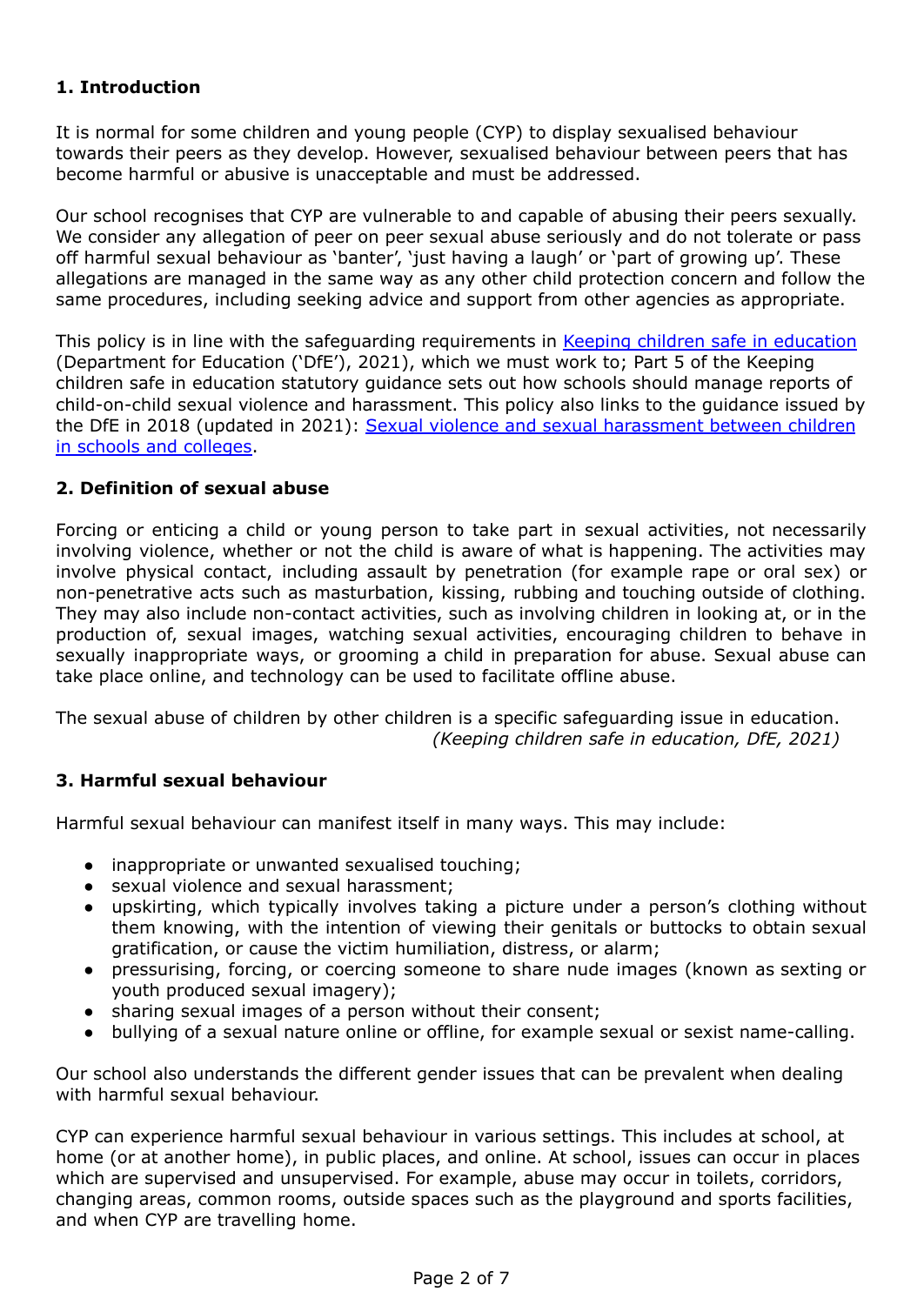# **1. Introduction**

It is normal for some children and young people (CYP) to display sexualised behaviour towards their peers as they develop. However, sexualised behaviour between peers that has become harmful or abusive is unacceptable and must be addressed.

Our school recognises that CYP are vulnerable to and capable of abusing their peers sexually. We consider any allegation of peer on peer sexual abuse seriously and do not tolerate or pass off harmful sexual behaviour as 'banter', 'just having a laugh' or 'part of growing up'. These allegations are managed in the same way as any other child protection concern and follow the same procedures, including seeking advice and support from other agencies as appropriate.

This policy is in line with the safeguarding requirements in Keeping children safe in [education](https://www.gov.uk/government/publications/keeping-children-safe-in-education--2) (Department for Education ('DfE'), 2021), which we must work to; Part 5 of the Keeping children safe in education statutory guidance sets out how schools should manage reports of child-on-child sexual violence and harassment. This policy also links to the guidance issued by the DfE in 2018 (updated in 2021): Sexual violence and sexual [harassment](https://www.gov.uk/government/publications/sexual-violence-and-sexual-harassment-between-children-in-schools-and-colleges) between children in schools and [colleges.](https://www.gov.uk/government/publications/sexual-violence-and-sexual-harassment-between-children-in-schools-and-colleges)

# **2. Definition of sexual abuse**

Forcing or enticing a child or young person to take part in sexual activities, not necessarily involving violence, whether or not the child is aware of what is happening. The activities may involve physical contact, including assault by penetration (for example rape or oral sex) or non-penetrative acts such as masturbation, kissing, rubbing and touching outside of clothing. They may also include non-contact activities, such as involving children in looking at, or in the production of, sexual images, watching sexual activities, encouraging children to behave in sexually inappropriate ways, or grooming a child in preparation for abuse. Sexual abuse can take place online, and technology can be used to facilitate offline abuse.

The sexual abuse of children by other children is a specific safeguarding issue in education. *(Keeping children safe in education, DfE, 2021)*

# **3. Harmful sexual behaviour**

Harmful sexual behaviour can manifest itself in many ways. This may include:

- inappropriate or unwanted sexualised touching;
- sexual violence and sexual harassment;
- upskirting, which typically involves taking a picture under a person's clothing without them knowing, with the intention of viewing their genitals or buttocks to obtain sexual gratification, or cause the victim humiliation, distress, or alarm;
- pressurising, forcing, or coercing someone to share nude images (known as sexting or youth produced sexual imagery);
- sharing sexual images of a person without their consent;
- bullying of a sexual nature online or offline, for example sexual or sexist name-calling.

Our school also understands the different gender issues that can be prevalent when dealing with harmful sexual behaviour.

CYP can experience harmful sexual behaviour in various settings. This includes at school, at home (or at another home), in public places, and online. At school, issues can occur in places which are supervised and unsupervised. For example, abuse may occur in toilets, corridors, changing areas, common rooms, outside spaces such as the playground and sports facilities, and when CYP are travelling home.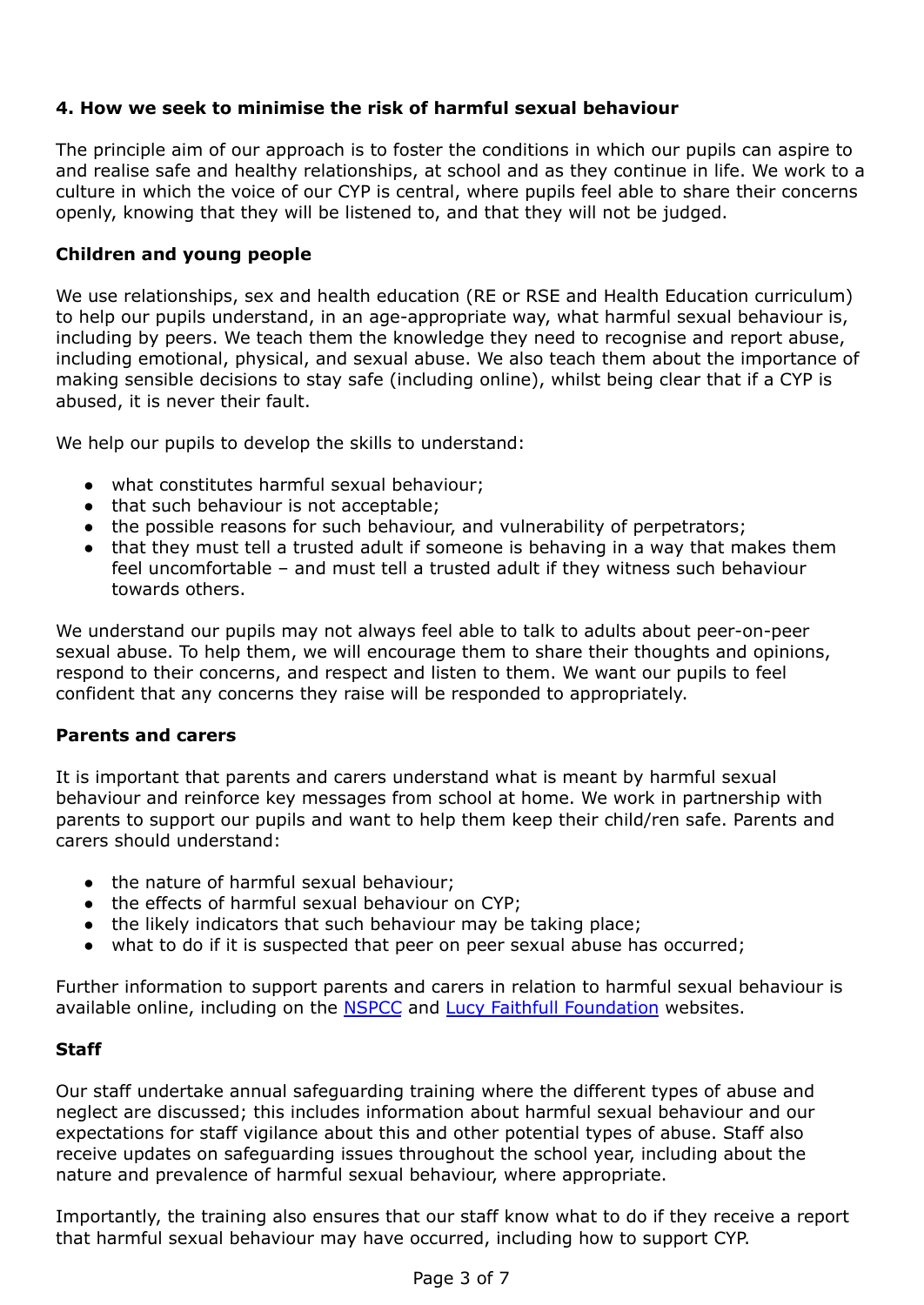# **4. How we seek to minimise the risk of harmful sexual behaviour**

The principle aim of our approach is to foster the conditions in which our pupils can aspire to and realise safe and healthy relationships, at school and as they continue in life. We work to a culture in which the voice of our CYP is central, where pupils feel able to share their concerns openly, knowing that they will be listened to, and that they will not be judged.

### **Children and young people**

We use relationships, sex and health education (RE or RSE and Health Education curriculum) to help our pupils understand, in an age-appropriate way, what harmful sexual behaviour is, including by peers. We teach them the knowledge they need to recognise and report abuse, including emotional, physical, and sexual abuse. We also teach them about the importance of making sensible decisions to stay safe (including online), whilst being clear that if a CYP is abused, it is never their fault.

We help our pupils to develop the skills to understand:

- what constitutes harmful sexual behaviour;
- that such behaviour is not acceptable;
- the possible reasons for such behaviour, and vulnerability of perpetrators;
- that they must tell a trusted adult if someone is behaving in a way that makes them feel uncomfortable – and must tell a trusted adult if they witness such behaviour towards others.

We understand our pupils may not always feel able to talk to adults about peer-on-peer sexual abuse. To help them, we will encourage them to share their thoughts and opinions, respond to their concerns, and respect and listen to them. We want our pupils to feel confident that any concerns they raise will be responded to appropriately.

#### **Parents and carers**

It is important that parents and carers understand what is meant by harmful sexual behaviour and reinforce key messages from school at home. We work in partnership with parents to support our pupils and want to help them keep their child/ren safe. Parents and carers should understand:

- the nature of harmful sexual behaviour;
- the effects of harmful sexual behaviour on CYP;
- the likely indicators that such behaviour may be taking place;
- what to do if it is suspected that peer on peer sexual abuse has occurred;

Further information to support parents and carers in relation to harmful sexual behaviour is available online, including on the **[NSPCC](https://www.nspcc.org.uk/what-is-child-abuse/types-of-abuse/child-sexual-abuse/#support)** and Lucy Faithfull [Foundation](https://www.lucyfaithfull.org.uk/parents-protect.htm) websites.

#### **Staff**

Our staff undertake annual safeguarding training where the different types of abuse and neglect are discussed; this includes information about harmful sexual behaviour and our expectations for staff vigilance about this and other potential types of abuse. Staff also receive updates on safeguarding issues throughout the school year, including about the nature and prevalence of harmful sexual behaviour, where appropriate.

Importantly, the training also ensures that our staff know what to do if they receive a report that harmful sexual behaviour may have occurred, including how to support CYP.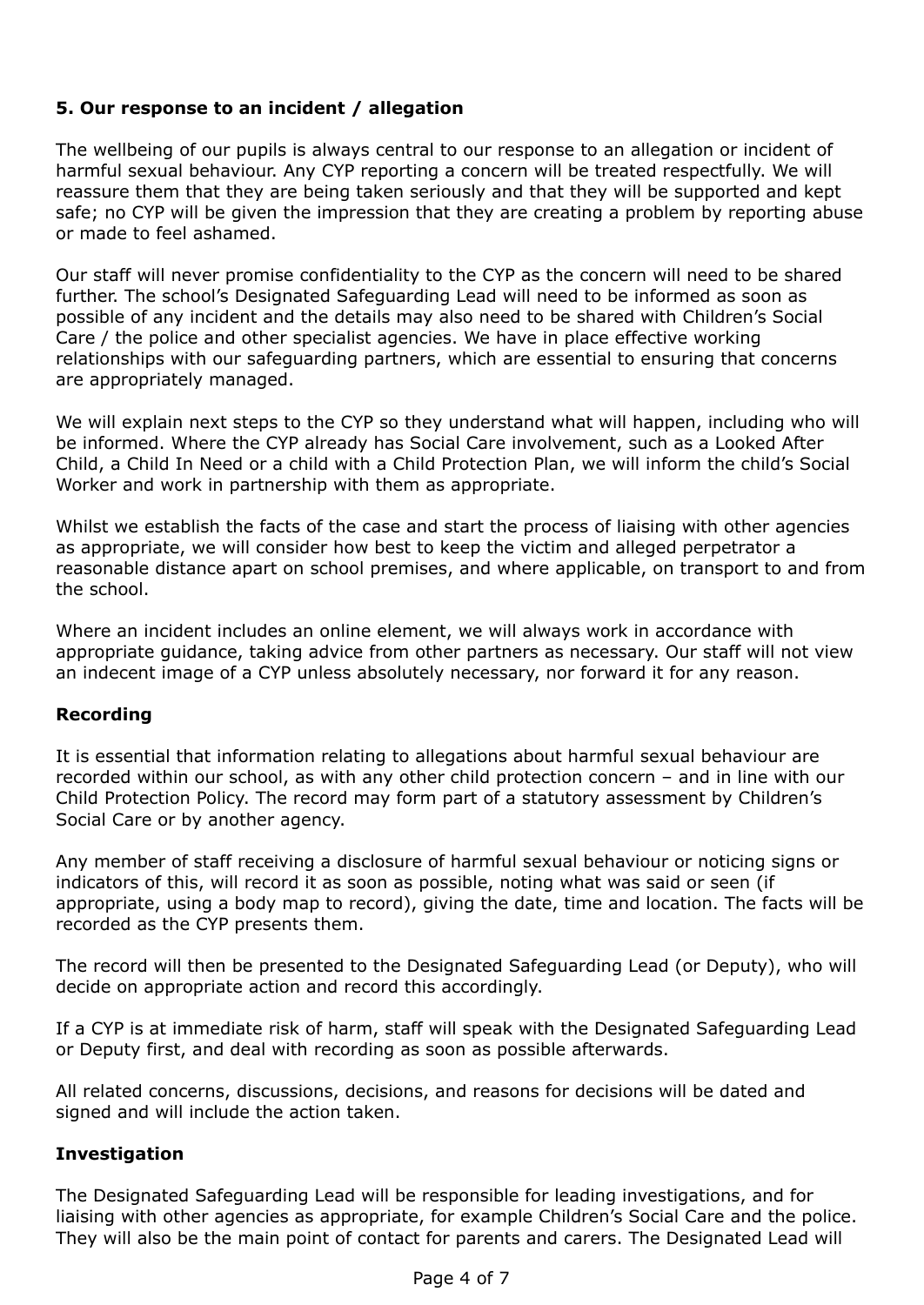# **5. Our response to an incident / allegation**

The wellbeing of our pupils is always central to our response to an allegation or incident of harmful sexual behaviour. Any CYP reporting a concern will be treated respectfully. We will reassure them that they are being taken seriously and that they will be supported and kept safe; no CYP will be given the impression that they are creating a problem by reporting abuse or made to feel ashamed.

Our staff will never promise confidentiality to the CYP as the concern will need to be shared further. The school's Designated Safeguarding Lead will need to be informed as soon as possible of any incident and the details may also need to be shared with Children's Social Care / the police and other specialist agencies. We have in place effective working relationships with our safeguarding partners, which are essential to ensuring that concerns are appropriately managed.

We will explain next steps to the CYP so they understand what will happen, including who will be informed. Where the CYP already has Social Care involvement, such as a Looked After Child, a Child In Need or a child with a Child Protection Plan, we will inform the child's Social Worker and work in partnership with them as appropriate.

Whilst we establish the facts of the case and start the process of liaising with other agencies as appropriate, we will consider how best to keep the victim and alleged perpetrator a reasonable distance apart on school premises, and where applicable, on transport to and from the school.

Where an incident includes an online element, we will always work in accordance with appropriate guidance, taking advice from other partners as necessary. Our staff will not view an indecent image of a CYP unless absolutely necessary, nor forward it for any reason.

#### **Recording**

It is essential that information relating to allegations about harmful sexual behaviour are recorded within our school, as with any other child protection concern – and in line with our Child Protection Policy. The record may form part of a statutory assessment by Children's Social Care or by another agency.

Any member of staff receiving a disclosure of harmful sexual behaviour or noticing signs or indicators of this, will record it as soon as possible, noting what was said or seen (if appropriate, using a body map to record), giving the date, time and location. The facts will be recorded as the CYP presents them.

The record will then be presented to the Designated Safeguarding Lead (or Deputy), who will decide on appropriate action and record this accordingly.

If a CYP is at immediate risk of harm, staff will speak with the Designated Safeguarding Lead or Deputy first, and deal with recording as soon as possible afterwards.

All related concerns, discussions, decisions, and reasons for decisions will be dated and signed and will include the action taken.

#### **Investigation**

The Designated Safeguarding Lead will be responsible for leading investigations, and for liaising with other agencies as appropriate, for example Children's Social Care and the police. They will also be the main point of contact for parents and carers. The Designated Lead will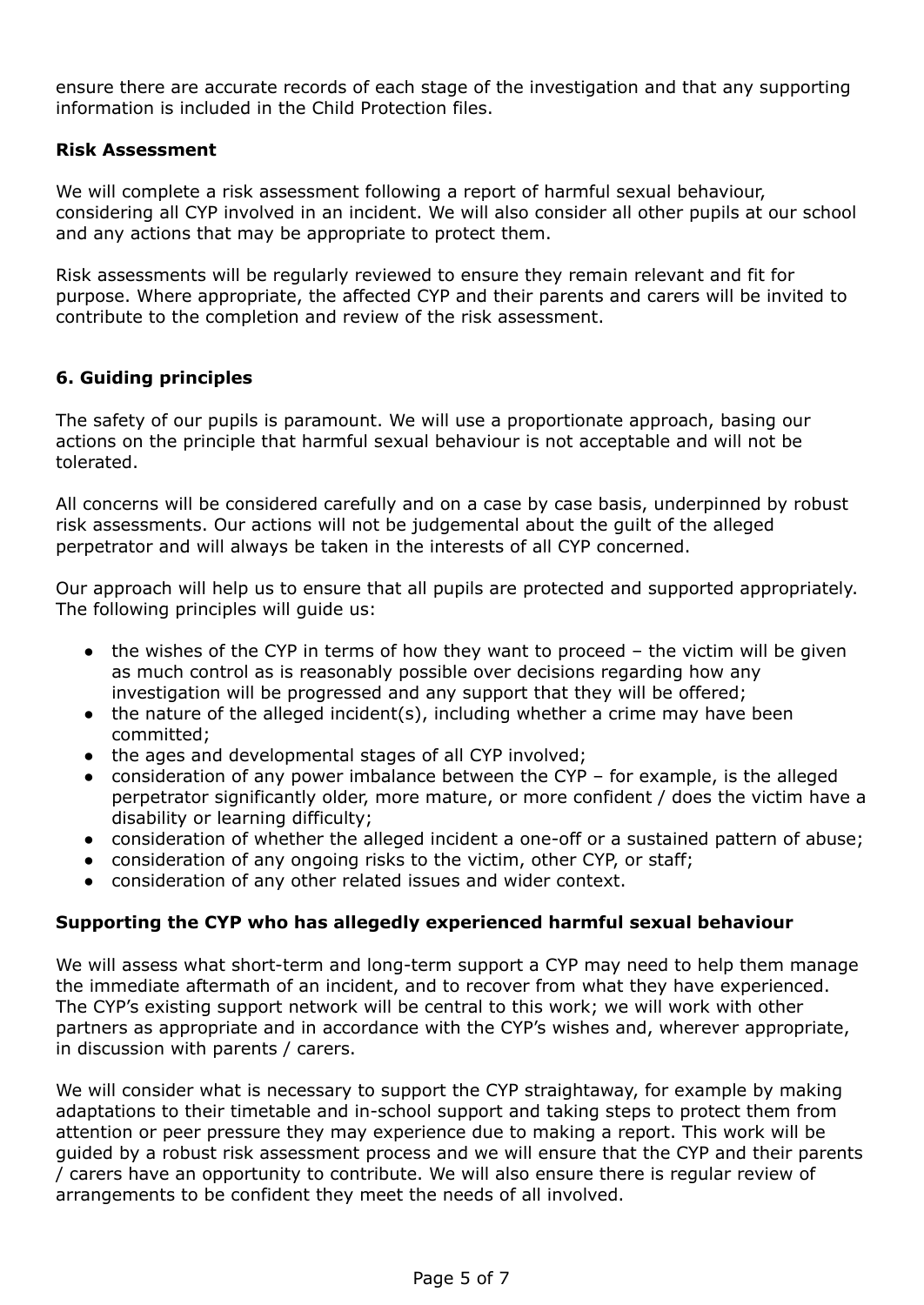ensure there are accurate records of each stage of the investigation and that any supporting information is included in the Child Protection files.

### **Risk Assessment**

We will complete a risk assessment following a report of harmful sexual behaviour, considering all CYP involved in an incident. We will also consider all other pupils at our school and any actions that may be appropriate to protect them.

Risk assessments will be regularly reviewed to ensure they remain relevant and fit for purpose. Where appropriate, the affected CYP and their parents and carers will be invited to contribute to the completion and review of the risk assessment.

# **6. Guiding principles**

The safety of our pupils is paramount. We will use a proportionate approach, basing our actions on the principle that harmful sexual behaviour is not acceptable and will not be tolerated.

All concerns will be considered carefully and on a case by case basis, underpinned by robust risk assessments. Our actions will not be judgemental about the guilt of the alleged perpetrator and will always be taken in the interests of all CYP concerned.

Our approach will help us to ensure that all pupils are protected and supported appropriately. The following principles will guide us:

- $\bullet$  the wishes of the CYP in terms of how they want to proceed the victim will be given as much control as is reasonably possible over decisions regarding how any investigation will be progressed and any support that they will be offered;
- $\bullet$  the nature of the alleged incident(s), including whether a crime may have been committed;
- the ages and developmental stages of all CYP involved;
- consideration of any power imbalance between the CYP for example, is the alleged perpetrator significantly older, more mature, or more confident / does the victim have a disability or learning difficulty;
- consideration of whether the alleged incident a one-off or a sustained pattern of abuse;
- consideration of any ongoing risks to the victim, other CYP, or staff;
- consideration of any other related issues and wider context.

# **Supporting the CYP who has allegedly experienced harmful sexual behaviour**

We will assess what short-term and long-term support a CYP may need to help them manage the immediate aftermath of an incident, and to recover from what they have experienced. The CYP's existing support network will be central to this work; we will work with other partners as appropriate and in accordance with the CYP's wishes and, wherever appropriate, in discussion with parents / carers.

We will consider what is necessary to support the CYP straightaway, for example by making adaptations to their timetable and in-school support and taking steps to protect them from attention or peer pressure they may experience due to making a report. This work will be guided by a robust risk assessment process and we will ensure that the CYP and their parents / carers have an opportunity to contribute. We will also ensure there is regular review of arrangements to be confident they meet the needs of all involved.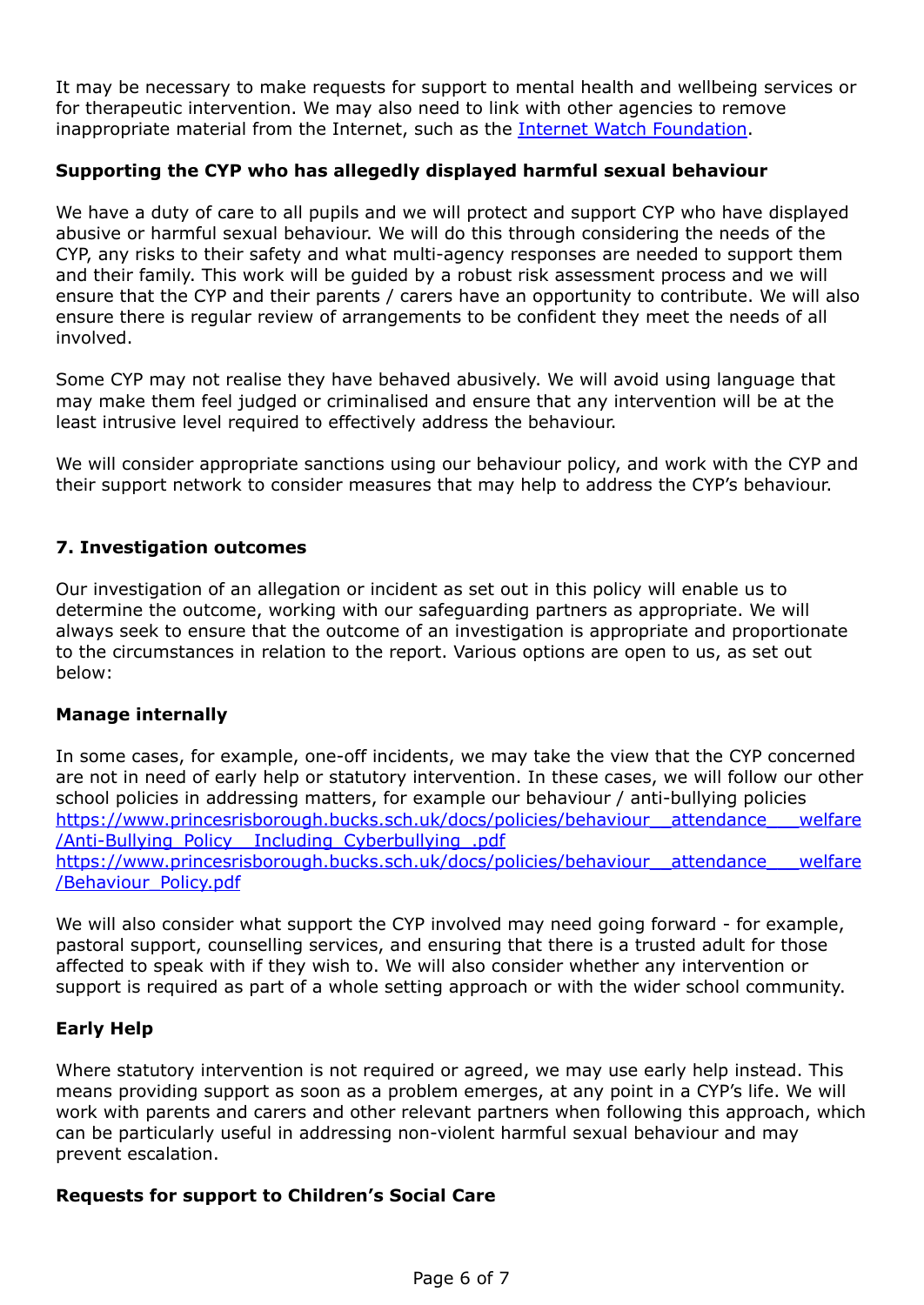It may be necessary to make requests for support to mental health and wellbeing services or for therapeutic intervention. We may also need to link with other agencies to remove inappropriate material from the Internet, such as the Internet Watch [Foundation](https://www.iwf.org.uk/).

### **Supporting the CYP who has allegedly displayed harmful sexual behaviour**

We have a duty of care to all pupils and we will protect and support CYP who have displayed abusive or harmful sexual behaviour. We will do this through considering the needs of the CYP, any risks to their safety and what multi-agency responses are needed to support them and their family. This work will be guided by a robust risk assessment process and we will ensure that the CYP and their parents / carers have an opportunity to contribute. We will also ensure there is regular review of arrangements to be confident they meet the needs of all involved.

Some CYP may not realise they have behaved abusively. We will avoid using language that may make them feel judged or criminalised and ensure that any intervention will be at the least intrusive level required to effectively address the behaviour.

We will consider appropriate sanctions using our behaviour policy, and work with the CYP and their support network to consider measures that may help to address the CYP's behaviour.

### **7. Investigation outcomes**

Our investigation of an allegation or incident as set out in this policy will enable us to determine the outcome, working with our safeguarding partners as appropriate. We will always seek to ensure that the outcome of an investigation is appropriate and proportionate to the circumstances in relation to the report. Various options are open to us, as set out below:

#### **Manage internally**

In some cases, for example, one-off incidents, we may take the view that the CYP concerned are not in need of early help or statutory intervention. In these cases, we will follow our other school policies in addressing matters, for example our behaviour / anti-bullying policies https://www.princesrisborough.bucks.sch.uk/docs/policies/behaviour\_attendance\_\_\_welfare [/Anti-Bullying\\_Policy\\_\\_Including\\_Cyberbullying\\_.pdf](https://www.princesrisborough.bucks.sch.uk/docs/policies/behaviour__attendance___welfare/Anti-Bullying_Policy__Including_Cyberbullying_.pdf) https://www.princesrisborough.bucks.sch.uk/docs/policies/behaviour\_attendance\_\_\_welfare [/Behaviour\\_Policy.pdf](https://www.princesrisborough.bucks.sch.uk/docs/policies/behaviour__attendance___welfare/Behaviour_Policy.pdf)

We will also consider what support the CYP involved may need going forward - for example, pastoral support, counselling services, and ensuring that there is a trusted adult for those affected to speak with if they wish to. We will also consider whether any intervention or support is required as part of a whole setting approach or with the wider school community.

#### **Early Help**

Where statutory intervention is not required or agreed, we may use early help instead. This means providing support as soon as a problem emerges, at any point in a CYP's life. We will work with parents and carers and other relevant partners when following this approach, which can be particularly useful in addressing non-violent harmful sexual behaviour and may prevent escalation.

#### **Requests for support to Children's Social Care**